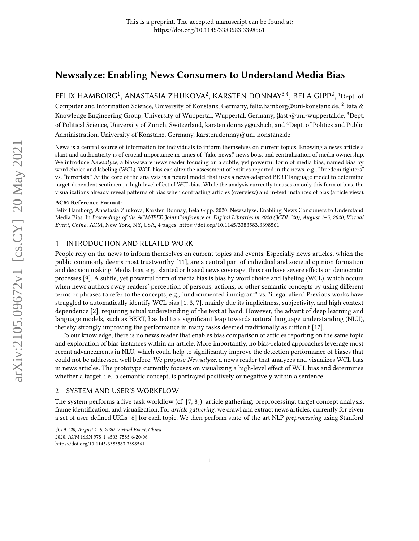# Newsalyze: Enabling News Consumers to Understand Media Bias

FELIX HAMBORG<sup>1</sup>, ANASTASIA ZHUKOVA<sup>2</sup>, KARSTEN DONNAY<sup>3,4</sup>, BELA GIPP<sup>2</sup>, <sup>1</sup>Dept. of Computer and Information Science, University of Konstanz, Germany, felix.hamborg@uni-konstanz.de, <sup>2</sup>Data & Knowledge Engineering Group, University of Wuppertal, Wuppertal, Germany, {last}@uni-wuppertal.de, <sup>3</sup>Dept. of Political Science, University of Zurich, Switzerland, karsten.donnay@uzh.ch, and <sup>4</sup>Dept. of Politics and Public Administration, University of Konstanz, Germany, karsten.donnay@uni-konstanz.de

News is a central source of information for individuals to inform themselves on current topics. Knowing a news article's slant and authenticity is of crucial importance in times of "fake news," news bots, and centralization of media ownership. We introduce Newsalyze, a bias-aware news reader focusing on a subtle, yet powerful form of media bias, named bias by word choice and labeling (WCL). WCL bias can alter the assessment of entities reported in the news, e.g., "freedom fighters" vs. "terrorists." At the core of the analysis is a neural model that uses a news-adapted BERT language model to determine target-dependent sentiment, a high-level effect of WCL bias. While the analysis currently focuses on only this form of bias, the visualizations already reveal patterns of bias when contrasting articles (overview) and in-text instances of bias (article view).

#### ACM Reference Format:

Felix Hamborg, Anastasia Zhukova, Karsten Donnay, Bela Gipp. 2020. Newsalyze: Enabling News Consumers to Understand Media Bias. In Proceedings of the ACM/IEEE Joint Conference on Digital Libraries in 2020 (JCDL '20), August 1–5, 2020, Virtual Event, China. ACM, New York, NY, USA, [4](#page-3-0) pages. https://doi.org/10.[1145/3383583](https://doi.org/10.1145/3383583.3398561).3398561

# 1 INTRODUCTION AND RELATED WORK

People rely on the news to inform themselves on current topics and events. Especially news articles, which the public commonly deems most trustworthy [\[11\]](#page-2-0), are a central part of individual and societal opinion formation and decision making. Media bias, e.g., slanted or biased news coverage, thus can have severe effects on democratic processes [\[9\]](#page-2-1). A subtle, yet powerful form of media bias is bias by word choice and labeling (WCL), which occurs when news authors sway readers' perception of persons, actions, or other semantic concepts by using different terms or phrases to refer to the concepts, e.g., "undocumented immigrant" vs. "illegal alien." Previous works have struggled to automatically identify WCL bias [\[1,](#page-2-2) [3,](#page-2-3) [7\]](#page-2-4), mainly due its implicitness, subjectivity, and high context dependence [\[2\]](#page-2-5), requiring actual understanding of the text at hand. However, the advent of deep learning and language models, such as BERT, has led to a significant leap towards natural language understanding (NLU), thereby strongly improving the performance in many tasks deemed traditionally as difficult [\[12\]](#page-3-1).

To our knowledge, there is no news reader that enables bias comparison of articles reporting on the same topic and exploration of bias instances within an article. More importantly, no bias-related approaches leverage most recent advancements in NLU, which could help to significantly improve the detection performance of biases that could not be addressed well before. We propose Newsalyze, a news reader that analyzes and visualizes WCL bias in news articles. The prototype currently focuses on visualizing a high-level effect of WCL bias and determines whether a target, i.e., a semantic concept, is portrayed positively or negatively within a sentence.

### 2 SYSTEM AND USER'S WORKFLOW

The system performs a five task workflow (cf. [\[7,](#page-2-4) [8\]](#page-2-6)): article gathering, preprocessing, target concept analysis, frame identification, and visualization. For *article gathering*, we crawl and extract news articles, currently for given a set of user-defined URLs [\[6\]](#page-2-7) for each topic. We then perform state-of-the-art NLP preprocessing using Stanford

JCDL '20, August 1–5, 2020, Virtual Event, China 2020. ACM ISBN 978-1-4503-7585-6/20/06. https://doi.org/10.[1145/3383583](https://doi.org/10.1145/3383583.3398561).3398561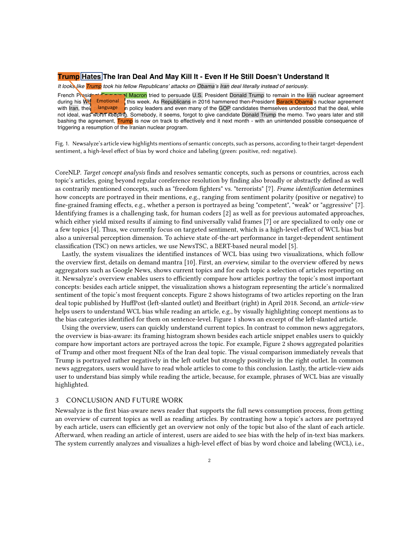# <span id="page-1-0"></span>**Trump Hates The Iran Deal And May Kill It - Even If He Still Doesn't Understand It**

*It looks like Trump took his fellow Republicans' attacks on Obama's Iran deal literally instead of seriously.*

French President Emmanuel Macron tried to persuade U.S. President Donald Trump to remain in the Iran nuclear agreement this week. As Republicans in 2016 hammered then-President Barack Obama's nuclear agreement in policy leaders and even many of the GOP candidates themselves understood that the deal, while not ideal, was worth keeping. Somebody, it seems, forgot to give candidate Donald Trump the memo. Two years later and still bashing the agreement, Trump is now on track to effectively end it next month - with an unintended possible consequence of triggering a resumption of the Iranian nuclear program. Emotional language

Fig. 1. Newsalyze's article view highlights mentions of semantic concepts, such as persons, according to their target-dependent sentiment, a high-level effect of bias by word choice and labeling (green: positive, red: negative).

CoreNLP. Target concept analysis finds and resolves semantic concepts, such as persons or countries, across each topic's articles, going beyond regular coreference resolution by finding also broadly or abstractly defined as well as contrarily mentioned concepts, such as "freedom fighters" vs. "terrorists" [\[7\]](#page-2-4). Frame identification determines how concepts are portrayed in their mentions, e.g., ranging from sentiment polarity (positive or negative) to fine-grained framing effects, e.g., whether a person is portrayed as being "competent", "weak" or "aggressive" [\[7\]](#page-2-4). Identifying frames is a challenging task, for human coders [\[2\]](#page-2-5) as well as for previous automated approaches, which either yield mixed results if aiming to find universally valid frames [\[7\]](#page-2-4) or are specialized to only one or a few topics [\[4\]](#page-2-8). Thus, we currently focus on targeted sentiment, which is a high-level effect of WCL bias but also a universal perception dimension. To achieve state of-the-art performance in target-dependent sentiment classification (TSC) on news articles, we use NewsTSC, a BERT-based neural model [\[5\]](#page-2-9).

Lastly, the system visualizes the identified instances of WCL bias using two visualizations, which follow the overview first, details on demand mantra [\[10\]](#page-2-10). First, an overview, similar to the overview offered by news aggregators such as Google News, shows current topics and for each topic a selection of articles reporting on it. Newsalyze's overview enables users to efficiently compare how articles portray the topic's most important concepts: besides each article snippet, the visualization shows a histogram representing the article's normalized sentiment of the topic's most frequent concepts. Figure [2](#page-2-11) shows histograms of two articles reporting on the Iran deal topic published by HuffPost (left-slanted outlet) and Breitbart (right) in April 2018. Second, an article-view helps users to understand WCL bias while reading an article, e.g., by visually highlighting concept mentions as to the bias categories identified for them on sentence-level. Figure [1](#page-1-0) shows an excerpt of the left-slanted article.

Using the overview, users can quickly understand current topics. In contrast to common news aggregators, the overview is bias-aware: its framing histogram shown besides each article snippet enables users to quickly compare how important actors are portrayed across the topic. For example, Figure [2](#page-2-11) shows aggregated polarities of Trump and other most frequent NEs of the Iran deal topic. The visual comparison immediately reveals that Trump is portrayed rather negatively in the left outlet but strongly positively in the right outlet. In common news aggregators, users would have to read whole articles to come to this conclusion. Lastly, the article-view aids user to understand bias simply while reading the article, because, for example, phrases of WCL bias are visually highlighted.

#### 3 CONCLUSION AND FUTURE WORK

Newsalyze is the first bias-aware news reader that supports the full news consumption process, from getting an overview of current topics as well as reading articles. By contrasting how a topic's actors are portrayed by each article, users can efficiently get an overview not only of the topic but also of the slant of each article. Afterward, when reading an article of interest, users are aided to see bias with the help of in-text bias markers. The system currently analyzes and visualizes a high-level effect of bias by word choice and labeling (WCL), i.e.,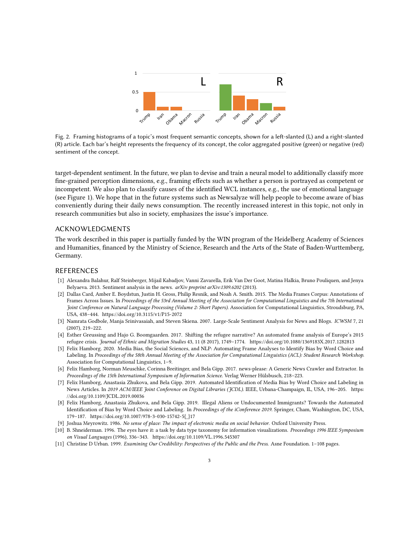

<span id="page-2-11"></span>Fig. 2. Framing histograms of a topic's most frequent semantic concepts, shown for a left-slanted (L) and a right-slanted (R) article. Each bar's height represents the frequency of its concept, the color aggregated positive (green) or negative (red) sentiment of the concept.

target-dependent sentiment. In the future, we plan to devise and train a neural model to additionally classify more fine-grained perception dimensions, e.g., framing effects such as whether a person is portrayed as competent or incompetent. We also plan to classify causes of the identified WCL instances, e.g., the use of emotional language (see Figure [1\)](#page-1-0). We hope that in the future systems such as Newsalyze will help people to become aware of bias conveniently during their daily news consumption. The recently increased interest in this topic, not only in research communities but also in society, emphasizes the issue's importance.

## ACKNOWLEDGMENTS

The work described in this paper is partially funded by the WIN program of the Heidelberg Academy of Sciences and Humanities, financed by the Ministry of Science, Research and the Arts of the State of Baden-Wurttemberg, Germany.

## REFERENCES

- <span id="page-2-2"></span>[1] Alexandra Balahur, Ralf Steinberger, Mijail Kabadjov, Vanni Zavarella, Erik Van Der Goot, Matina Halkia, Bruno Pouliquen, and Jenya Belyaeva. 2013. Sentiment analysis in the news. arXiv preprint arXiv:1309.6202 (2013).
- <span id="page-2-5"></span>[2] Dallas Card, Amber E. Boydstun, Justin H. Gross, Philip Resnik, and Noah A. Smith. 2015. The Media Frames Corpus: Annotations of Frames Across Issues. In Proceedings of the 53rd Annual Meeting of the Association for Computational Linguistics and the 7th International Joint Conference on Natural Language Processing (Volume 2: Short Papers). Association for Computational Linguistics, Stroudsburg, PA, USA, 438–444. https://doi.org/10.[3115/v1/P15-2072](https://doi.org/10.3115/v1/P15-2072)
- <span id="page-2-3"></span>[3] Namrata Godbole, Manja Srinivasaiah, and Steven Skiena. 2007. Large-Scale Sentiment Analysis for News and Blogs. ICWSM 7, 21 (2007), 219–222.
- <span id="page-2-8"></span>[4] Esther Greussing and Hajo G. Boomgaarden. 2017. Shifting the refugee narrative? An automated frame analysis of Europe's 2015 refugee crisis. Journal of Ethnic and Migration Studies 43, 11 (8 2017), 1749–1774. https://doi.org/10.[1080/1369183X](https://doi.org/10.1080/1369183X.2017.1282813).2017.1282813
- <span id="page-2-9"></span>[5] Felix Hamborg. 2020. Media Bias, the Social Sciences, and NLP: Automating Frame Analyses to Identify Bias by Word Choice and Labeling. In Proceedings of the 58th Annual Meeting of the Association for Computational Linguistics (ACL): Student Research Workshop. Association for Computational Linguistics, 1–9.
- <span id="page-2-7"></span>[6] Felix Hamborg, Norman Meuschke, Corinna Breitinger, and Bela Gipp. 2017. news-please: A Generic News Crawler and Extractor. In Proceedings of the 15th International Symposium of Information Science. Verlag Werner Hülsbusch, 218–223.
- <span id="page-2-4"></span>[7] Felix Hamborg, Anastasia Zhukova, and Bela Gipp. 2019. Automated Identification of Media Bias by Word Choice and Labeling in News Articles. In 2019 ACM/IEEE Joint Conference on Digital Libraries (JCDL). IEEE, Urbana-Champaign, IL, USA, 196–205. [https:](https://doi.org/10.1109/JCDL.2019.00036) //doi.org/10.[1109/JCDL](https://doi.org/10.1109/JCDL.2019.00036).2019.00036
- <span id="page-2-6"></span>[8] Felix Hamborg, Anastasia Zhukova, and Bela Gipp. 2019. Illegal Aliens or Undocumented Immigrants? Towards the Automated Identification of Bias by Word Choice and Labeling. In Proceedings of the iConference 2019. Springer, Cham, Washington, DC, USA, 179–187. https://doi.org/10.[1007/978-3-030-15742-5{\\_}17](https://doi.org/10.1007/978-3-030-15742-5{_}17)
- <span id="page-2-1"></span>[9] Joshua Meyrowitz. 1986. No sense of place: The impact of electronic media on social behavior. Oxford University Press.
- <span id="page-2-10"></span>[10] B. Shneiderman. 1996. The eyes have it: a task by data type taxonomy for information visualizations. Proceedings 1996 IEEE Symposium on Visual Languages (1996), 336–343. [https://doi](https://doi.org/10.1109/VL.1996.545307).org/10.1109/VL.1996.545307
- <span id="page-2-0"></span>[11] Christine D Urban. 1999. Examining Our Credibility: Perspectives of the Public and the Press. Asne Foundation. 1-108 pages.